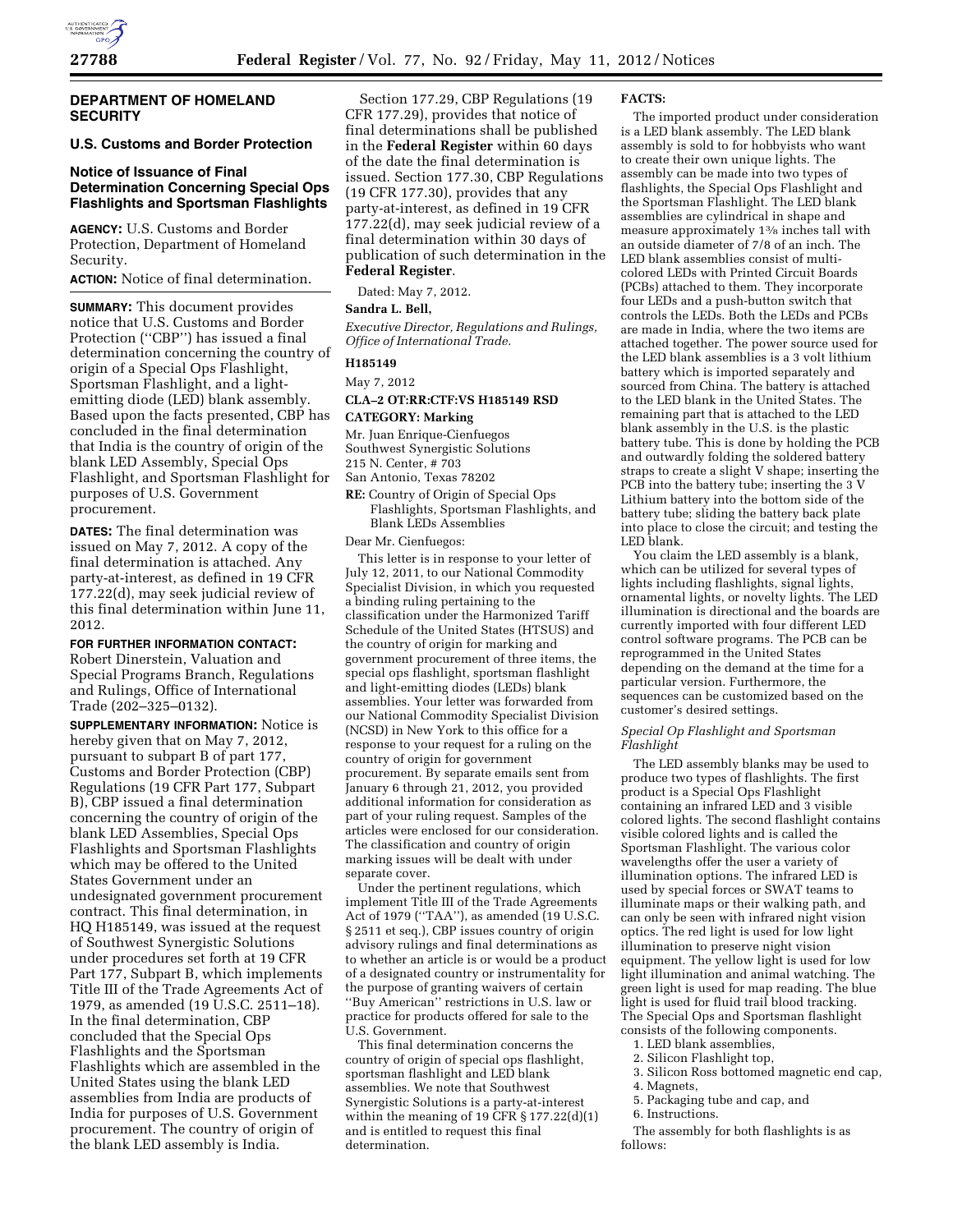

# **DEPARTMENT OF HOMELAND SECURITY**

# **U.S. Customs and Border Protection**

# **Notice of Issuance of Final Determination Concerning Special Ops Flashlights and Sportsman Flashlights**

**AGENCY:** U.S. Customs and Border Protection, Department of Homeland Security.

**ACTION:** Notice of final determination.

**SUMMARY:** This document provides notice that U.S. Customs and Border Protection ("CBP") has issued a final determination concerning the country of origin of a Special Ops Flashlight, Sportsman Flashlight, and a lightemitting diode (LED) blank assembly. Based upon the facts presented, CBP has concluded in the final determination that India is the country of origin of the blank LED Assembly, Special Ops Flashlight, and Sportsman Flashlight for purposes of U.S. Government procurement.

**DATES:** The final determination was issued on May 7, 2012. A copy of the final determination is attached. Any party-at-interest, as defined in 19 CFR 177.22(d), may seek judicial review of this final determination within June 11, 2012.

**FOR FURTHER INFORMATION CONTACT:**  Robert Dinerstein, Valuation and Special Programs Branch, Regulations and Rulings, Office of International Trade (202–325–0132).

**SUPPLEMENTARY INFORMATION:** Notice is hereby given that on May 7, 2012, pursuant to subpart B of part 177, Customs and Border Protection (CBP) Regulations (19 CFR Part 177, Subpart B), CBP issued a final determination concerning the country of origin of the blank LED Assemblies, Special Ops Flashlights and Sportsman Flashlights which may be offered to the United States Government under an undesignated government procurement contract. This final determination, in HQ H185149, was issued at the request of Southwest Synergistic Solutions under procedures set forth at 19 CFR Part 177, Subpart B, which implements Title III of the Trade Agreements Act of 1979, as amended (19 U.S.C. 2511–18). In the final determination, CBP concluded that the Special Ops Flashlights and the Sportsman Flashlights which are assembled in the United States using the blank LED assemblies from India are products of India for purposes of U.S. Government procurement. The country of origin of the blank LED assembly is India.

Section 177.29, CBP Regulations (19 CFR 177.29), provides that notice of final determinations shall be published in the **Federal Register** within 60 days of the date the final determination is issued. Section 177.30, CBP Regulations (19 CFR 177.30), provides that any party-at-interest, as defined in 19 CFR 177.22(d), may seek judicial review of a final determination within 30 days of publication of such determination in the **Federal Register**.

Dated: May 7, 2012.

### **Sandra L. Bell,**

*Executive Director, Regulations and Rulings, Office of International Trade.* 

**H185149** 

#### May 7, 2012

# **CLA–2 OT:RR:CTF:VS H185149 RSD CATEGORY: Marking**

Mr. Juan Enrique-Cienfuegos Southwest Synergistic Solutions

215 N. Center, # 703

- San Antonio, Texas 78202
- **RE:** Country of Origin of Special Ops Flashlights, Sportsman Flashlights, and Blank LEDs Assemblies

Dear Mr. Cienfuegos:

This letter is in response to your letter of July 12, 2011, to our National Commodity Specialist Division, in which you requested a binding ruling pertaining to the classification under the Harmonized Tariff Schedule of the United States (HTSUS) and the country of origin for marking and government procurement of three items, the special ops flashlight, sportsman flashlight and light-emitting diodes (LEDs) blank assemblies. Your letter was forwarded from our National Commodity Specialist Division (NCSD) in New York to this office for a response to your request for a ruling on the country of origin for government procurement. By separate emails sent from January 6 through 21, 2012, you provided additional information for consideration as part of your ruling request. Samples of the articles were enclosed for our consideration. The classification and country of origin marking issues will be dealt with under separate cover.

Under the pertinent regulations, which implement Title III of the Trade Agreements Act of 1979 (''TAA''), as amended (19 U.S.C. § 2511 et seq.), CBP issues country of origin advisory rulings and final determinations as to whether an article is or would be a product of a designated country or instrumentality for the purpose of granting waivers of certain ''Buy American'' restrictions in U.S. law or practice for products offered for sale to the U.S. Government.

This final determination concerns the country of origin of special ops flashlight, sportsman flashlight and LED blank assemblies. We note that Southwest Synergistic Solutions is a party-at-interest within the meaning of 19 CFR  $\S 177.22(d)(1)$ and is entitled to request this final determination.

#### **FACTS:**

The imported product under consideration is a LED blank assembly. The LED blank assembly is sold to for hobbyists who want to create their own unique lights. The assembly can be made into two types of flashlights, the Special Ops Flashlight and the Sportsman Flashlight. The LED blank assemblies are cylindrical in shape and measure approximately 13⁄8 inches tall with an outside diameter of 7/8 of an inch. The LED blank assemblies consist of multicolored LEDs with Printed Circuit Boards (PCBs) attached to them. They incorporate four LEDs and a push-button switch that controls the LEDs. Both the LEDs and PCBs are made in India, where the two items are attached together. The power source used for the LED blank assemblies is a 3 volt lithium battery which is imported separately and sourced from China. The battery is attached to the LED blank in the United States. The remaining part that is attached to the LED blank assembly in the U.S. is the plastic battery tube. This is done by holding the PCB and outwardly folding the soldered battery straps to create a slight V shape; inserting the PCB into the battery tube; inserting the  $3\,\mathrm{V}$ Lithium battery into the bottom side of the battery tube; sliding the battery back plate into place to close the circuit; and testing the LED blank.

You claim the LED assembly is a blank, which can be utilized for several types of lights including flashlights, signal lights, ornamental lights, or novelty lights. The LED illumination is directional and the boards are currently imported with four different LED control software programs. The PCB can be reprogrammed in the United States depending on the demand at the time for a particular version. Furthermore, the sequences can be customized based on the customer's desired settings.

### *Special Op Flashlight and Sportsman Flashlight*

The LED assembly blanks may be used to produce two types of flashlights. The first product is a Special Ops Flashlight containing an infrared LED and 3 visible colored lights. The second flashlight contains visible colored lights and is called the Sportsman Flashlight. The various color wavelengths offer the user a variety of illumination options. The infrared LED is used by special forces or SWAT teams to illuminate maps or their walking path, and can only be seen with infrared night vision optics. The red light is used for low light illumination to preserve night vision equipment. The yellow light is used for low light illumination and animal watching. The green light is used for map reading. The blue light is used for fluid trail blood tracking. The Special Ops and Sportsman flashlight consists of the following components.

1. LED blank assemblies,

- 2. Silicon Flashlight top,
- 3. Silicon Ross bottomed magnetic end cap,
- 4. Magnets,
- 5. Packaging tube and cap, and
- 6. Instructions.

The assembly for both flashlights is as follows: